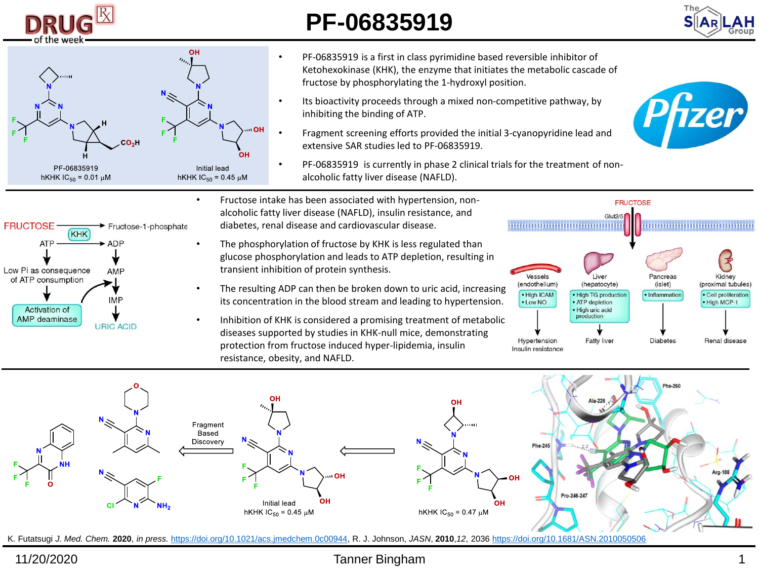

## **PF-06835919**





- PF-06835919 is a first in class pyrimidine based reversible inhibitor of Ketohexokinase (KHK), the enzyme that initiates the metabolic cascade of fructose by phosphorylating the 1-hydroxyl position.
- Its bioactivity proceeds through a mixed non-competitive pathway, by inhibiting the binding of ATP.
- Fragment screening efforts provided the initial 3-cyanopyridine lead and extensive SAR studies led to PF-06835919.
- PF-06835919 is currently in phase 2 clinical trials for the treatment of nonalcoholic fatty liver disease (NAFLD).





- Fructose intake has been associated with hypertension, nonalcoholic fatty liver disease (NAFLD), insulin resistance, and diabetes, renal disease and cardiovascular disease.
- The phosphorylation of fructose by KHK is less regulated than glucose phosphorylation and leads to ATP depletion, resulting in transient inhibition of protein synthesis.
- The resulting ADP can then be broken down to uric acid, increasing its concentration in the blood stream and leading to hypertension.
- Inhibition of KHK is considered a promising treatment of metabolic diseases supported by studies in KHK-null mice, demonstrating protection from fructose induced hyper-lipidemia, insulin resistance, obesity, and NAFLD.





K. Futatsugi *J. Med. Chem.* **2020**, *in press.* [https://doi.org/10.1021/acs.jmedchem.0c00944,](https://doi.org/10.1021/acs.jmedchem.0c00944) R. J. Johnson, *JASN*, **2010**,*12*, 2036 <https://doi.org/10.1681/ASN.2010050506>

## 11/20/2020 Tanner Bingham 1